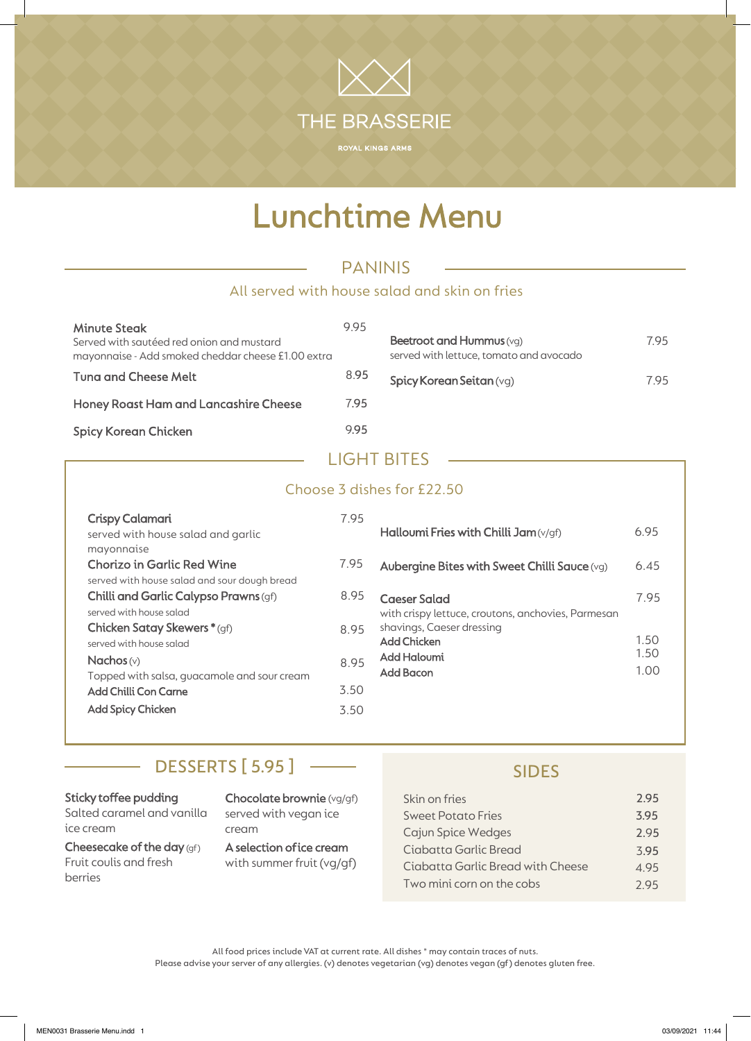# Lunchtime Menu

THE BRASSERIE

## PANINIS

#### All served with house salad and skin on fries

| <b>Minute Steak</b><br>Served with sautéed red onion and mustard<br>mayonnaise - Add smoked cheddar cheese £1.00 extra | 995  | Beetroot and<br>served with le |
|------------------------------------------------------------------------------------------------------------------------|------|--------------------------------|
| Tung and Cheese Melt                                                                                                   | 8.95 | <b>Spicy Korear</b>            |
| <b>Honey Roast Ham and Lancashire Cheese</b>                                                                           | 7.95 |                                |
| <b>Spicy Korean Chicken</b>                                                                                            | 995  |                                |

| Beetroot and Hummus (vg)<br>served with lettuce, tomato and avocado | 795 |
|---------------------------------------------------------------------|-----|
| Spicy Korean Seitan (vg)                                            | 795 |

### LIGHT BITES

| Choose 3 dishes for £22.50                                                                                                                              |                                                                                                                        |                                                |              |  |  |  |  |
|---------------------------------------------------------------------------------------------------------------------------------------------------------|------------------------------------------------------------------------------------------------------------------------|------------------------------------------------|--------------|--|--|--|--|
| Crispy Calamari<br>served with house salad and garlic<br>mayonnaise                                                                                     | 7.95                                                                                                                   | Halloumi Fries with Chilli Jam $(v/gf)$        | 6.95         |  |  |  |  |
| <b>Chorizo in Garlic Red Wine</b>                                                                                                                       | 7.95                                                                                                                   | Aubergine Bites with Sweet Chilli Sauce $(vq)$ | 6.45         |  |  |  |  |
| served with house salad and sour dough bread<br>Chilli and Garlic Calypso Prawns (gf)<br>served with house salad<br><b>Chicken Satay Skewers *</b> (gf) | 8.95<br><b>Caeser Salad</b><br>with crispy lettuce, croutons, anchovies, Parmesan<br>shavings, Caeser dressing<br>8.95 | 7.95                                           |              |  |  |  |  |
| served with house salad                                                                                                                                 |                                                                                                                        | <b>Add Chicken</b>                             | 1.50<br>1.50 |  |  |  |  |
| Nachos $(v)$<br>Topped with salsa, guacamole and sour cream                                                                                             | 8.95                                                                                                                   | Add Haloumi<br><b>Add Bacon</b>                | 1.00         |  |  |  |  |
| <b>Add Chilli Con Carne</b>                                                                                                                             | 3.50                                                                                                                   |                                                |              |  |  |  |  |
| <b>Add Spicy Chicken</b>                                                                                                                                | 3.50                                                                                                                   |                                                |              |  |  |  |  |

## DESSERTS [ 5.95 ] ——

#### Sticky toffee pudding

Salted caramel and vanilla ice cream

÷,

Cheesecake of the day (gf) Fruit coulis and fresh berries

Chocolate brownie (vg/gf) served with vegan ice cream

A selection of ice cream with summer fruit (vg/gf)

#### SIDES

| Skin on fries                     | 2.95 |
|-----------------------------------|------|
| Sweet Potato Fries                | 3.95 |
| Cajun Spice Wedges                | 2.95 |
| Ciabatta Garlic Bread             | 3.95 |
| Ciabatta Garlic Bread with Cheese | 4.95 |
| Two mini corn on the cobs         | 2.95 |

All food prices include VAT at current rate. All dishes \* may contain traces of nuts. Please advise your server of any allergies. (v) denotes vegetarian (vg) denotes vegan (gf) denotes gluten free.

MEN0031 Brasserie Menu.indd 1 03/09/2021 11:44